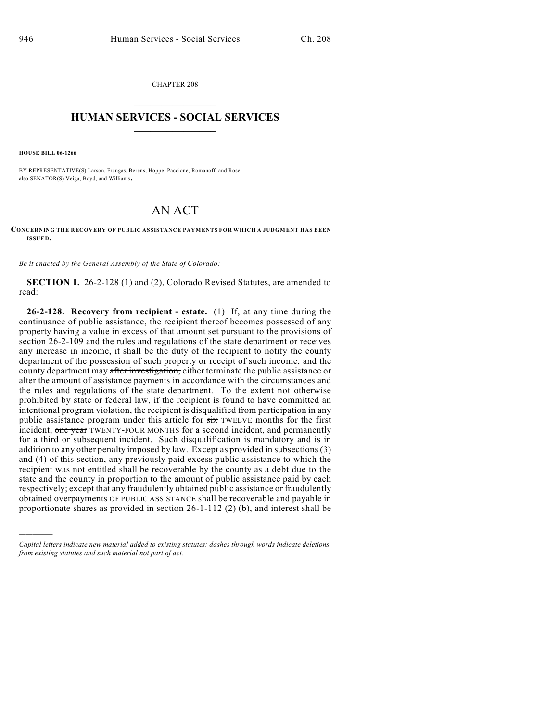CHAPTER 208  $\overline{\phantom{a}}$  . The set of the set of the set of the set of the set of the set of the set of the set of the set of the set of the set of the set of the set of the set of the set of the set of the set of the set of the set o

## **HUMAN SERVICES - SOCIAL SERVICES**  $\frac{1}{2}$  ,  $\frac{1}{2}$  ,  $\frac{1}{2}$  ,  $\frac{1}{2}$  ,  $\frac{1}{2}$  ,  $\frac{1}{2}$  ,  $\frac{1}{2}$

**HOUSE BILL 06-1266**

)))))

BY REPRESENTATIVE(S) Larson, Frangas, Berens, Hoppe, Paccione, Romanoff, and Rose; also SENATOR(S) Veiga, Boyd, and Williams.

## AN ACT

**CONCERNING THE RECOVERY OF PUBLIC ASSISTANCE PAYMENTS FOR WHICH A JUDGMENT HAS BEEN ISSUED.**

*Be it enacted by the General Assembly of the State of Colorado:*

**SECTION 1.** 26-2-128 (1) and (2), Colorado Revised Statutes, are amended to read:

**26-2-128. Recovery from recipient - estate.** (1) If, at any time during the continuance of public assistance, the recipient thereof becomes possessed of any property having a value in excess of that amount set pursuant to the provisions of section 26-2-109 and the rules and regulations of the state department or receives any increase in income, it shall be the duty of the recipient to notify the county department of the possession of such property or receipt of such income, and the county department may after investigation, either terminate the public assistance or alter the amount of assistance payments in accordance with the circumstances and the rules and regulations of the state department. To the extent not otherwise prohibited by state or federal law, if the recipient is found to have committed an intentional program violation, the recipient is disqualified from participation in any public assistance program under this article for six TWELVE months for the first incident, one year TWENTY-FOUR MONTHS for a second incident, and permanently for a third or subsequent incident. Such disqualification is mandatory and is in addition to any other penalty imposed by law. Except as provided in subsections (3) and (4) of this section, any previously paid excess public assistance to which the recipient was not entitled shall be recoverable by the county as a debt due to the state and the county in proportion to the amount of public assistance paid by each respectively; except that any fraudulently obtained public assistance or fraudulently obtained overpayments OF PUBLIC ASSISTANCE shall be recoverable and payable in proportionate shares as provided in section 26-1-112 (2) (b), and interest shall be

*Capital letters indicate new material added to existing statutes; dashes through words indicate deletions from existing statutes and such material not part of act.*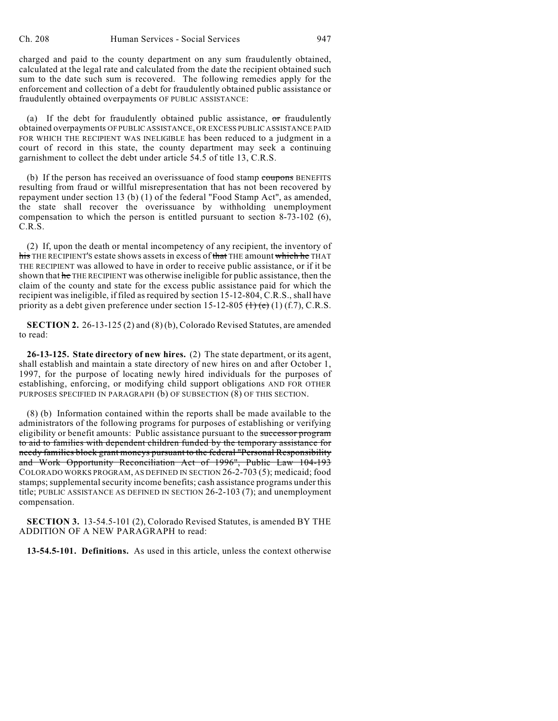charged and paid to the county department on any sum fraudulently obtained, calculated at the legal rate and calculated from the date the recipient obtained such sum to the date such sum is recovered. The following remedies apply for the enforcement and collection of a debt for fraudulently obtained public assistance or fraudulently obtained overpayments OF PUBLIC ASSISTANCE:

(a) If the debt for fraudulently obtained public assistance,  $\sigma$ r fraudulently obtained overpayments OF PUBLIC ASSISTANCE, OR EXCESS PUBLIC ASSISTANCE PAID FOR WHICH THE RECIPIENT WAS INELIGIBLE has been reduced to a judgment in a court of record in this state, the county department may seek a continuing garnishment to collect the debt under article 54.5 of title 13, C.R.S.

(b) If the person has received an overissuance of food stamp coupons BENEFITS resulting from fraud or willful misrepresentation that has not been recovered by repayment under section 13 (b) (1) of the federal "Food Stamp Act", as amended, the state shall recover the overissuance by withholding unemployment compensation to which the person is entitled pursuant to section 8-73-102 (6), C.R.S.

(2) If, upon the death or mental incompetency of any recipient, the inventory of his THE RECIPIENT'S estate shows assets in excess of that THE amount which he THAT THE RECIPIENT was allowed to have in order to receive public assistance, or if it be shown that he THE RECIPIENT was otherwise ineligible for public assistance, then the claim of the county and state for the excess public assistance paid for which the recipient was ineligible, if filed as required by section 15-12-804, C.R.S., shall have priority as a debt given preference under section 15-12-805  $(1)(f.7)$ , C.R.S.

**SECTION 2.** 26-13-125 (2) and (8) (b), Colorado Revised Statutes, are amended to read:

**26-13-125. State directory of new hires.** (2) The state department, or its agent, shall establish and maintain a state directory of new hires on and after October 1, 1997, for the purpose of locating newly hired individuals for the purposes of establishing, enforcing, or modifying child support obligations AND FOR OTHER PURPOSES SPECIFIED IN PARAGRAPH (b) OF SUBSECTION (8) OF THIS SECTION.

(8) (b) Information contained within the reports shall be made available to the administrators of the following programs for purposes of establishing or verifying eligibility or benefit amounts: Public assistance pursuant to the successor program to aid to families with dependent children funded by the temporary assistance for needy families block grant moneys pursuant to the federal "Personal Responsibility and Work Opportunity Reconciliation Act of 1996", Public Law 104-193 COLORADO WORKS PROGRAM, AS DEFINED IN SECTION 26-2-703 (5); medicaid; food stamps; supplemental security income benefits; cash assistance programs under this title; PUBLIC ASSISTANCE AS DEFINED IN SECTION 26-2-103 (7); and unemployment compensation.

**SECTION 3.** 13-54.5-101 (2), Colorado Revised Statutes, is amended BY THE ADDITION OF A NEW PARAGRAPH to read:

**13-54.5-101. Definitions.** As used in this article, unless the context otherwise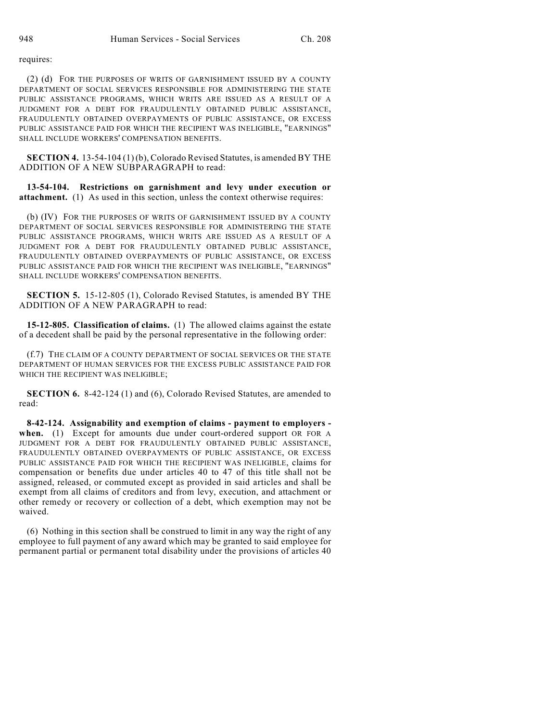requires:

(2) (d) FOR THE PURPOSES OF WRITS OF GARNISHMENT ISSUED BY A COUNTY DEPARTMENT OF SOCIAL SERVICES RESPONSIBLE FOR ADMINISTERING THE STATE PUBLIC ASSISTANCE PROGRAMS, WHICH WRITS ARE ISSUED AS A RESULT OF A JUDGMENT FOR A DEBT FOR FRAUDULENTLY OBTAINED PUBLIC ASSISTANCE, FRAUDULENTLY OBTAINED OVERPAYMENTS OF PUBLIC ASSISTANCE, OR EXCESS PUBLIC ASSISTANCE PAID FOR WHICH THE RECIPIENT WAS INELIGIBLE, "EARNINGS" SHALL INCLUDE WORKERS' COMPENSATION BENEFITS.

**SECTION 4.** 13-54-104 (1) (b), Colorado Revised Statutes, is amended BY THE ADDITION OF A NEW SUBPARAGRAPH to read:

**13-54-104. Restrictions on garnishment and levy under execution or attachment.** (1) As used in this section, unless the context otherwise requires:

(b) (IV) FOR THE PURPOSES OF WRITS OF GARNISHMENT ISSUED BY A COUNTY DEPARTMENT OF SOCIAL SERVICES RESPONSIBLE FOR ADMINISTERING THE STATE PUBLIC ASSISTANCE PROGRAMS, WHICH WRITS ARE ISSUED AS A RESULT OF A JUDGMENT FOR A DEBT FOR FRAUDULENTLY OBTAINED PUBLIC ASSISTANCE, FRAUDULENTLY OBTAINED OVERPAYMENTS OF PUBLIC ASSISTANCE, OR EXCESS PUBLIC ASSISTANCE PAID FOR WHICH THE RECIPIENT WAS INELIGIBLE, "EARNINGS" SHALL INCLUDE WORKERS' COMPENSATION BENEFITS.

**SECTION 5.** 15-12-805 (1), Colorado Revised Statutes, is amended BY THE ADDITION OF A NEW PARAGRAPH to read:

**15-12-805. Classification of claims.** (1) The allowed claims against the estate of a decedent shall be paid by the personal representative in the following order:

(f.7) THE CLAIM OF A COUNTY DEPARTMENT OF SOCIAL SERVICES OR THE STATE DEPARTMENT OF HUMAN SERVICES FOR THE EXCESS PUBLIC ASSISTANCE PAID FOR WHICH THE RECIPIENT WAS INELIGIBLE;

**SECTION 6.** 8-42-124 (1) and (6), Colorado Revised Statutes, are amended to read:

**8-42-124. Assignability and exemption of claims - payment to employers when.** (1) Except for amounts due under court-ordered support OR FOR A JUDGMENT FOR A DEBT FOR FRAUDULENTLY OBTAINED PUBLIC ASSISTANCE, FRAUDULENTLY OBTAINED OVERPAYMENTS OF PUBLIC ASSISTANCE, OR EXCESS PUBLIC ASSISTANCE PAID FOR WHICH THE RECIPIENT WAS INELIGIBLE, claims for compensation or benefits due under articles 40 to 47 of this title shall not be assigned, released, or commuted except as provided in said articles and shall be exempt from all claims of creditors and from levy, execution, and attachment or other remedy or recovery or collection of a debt, which exemption may not be waived.

(6) Nothing in this section shall be construed to limit in any way the right of any employee to full payment of any award which may be granted to said employee for permanent partial or permanent total disability under the provisions of articles 40